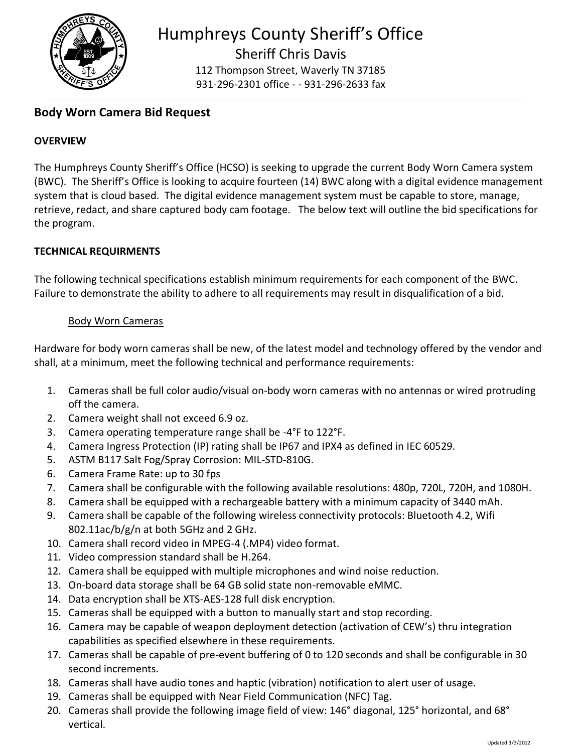

112 Thompson Street, Waverly TN 37185 931-296-2301 office - - 931-296-2633 fax

# **Body Worn Camera Bid Request**

# **OVERVIEW**

The Humphreys County Sheriff's Office (HCSO) is seeking to upgrade the current Body Worn Camera system (BWC). The Sheriff's Office is looking to acquire fourteen (14) BWC along with a digital evidence management system that is cloud based. The digital evidence management system must be capable to store, manage, retrieve, redact, and share captured body cam footage. The below text will outline the bid specifications for the program.

## **TECHNICAL REQUIRMENTS**

The following technical specifications establish minimum requirements for each component of the BWC. Failure to demonstrate the ability to adhere to all requirements may result in disqualification of a bid.

#### Body Worn Cameras

Hardware for body worn cameras shall be new, of the latest model and technology offered by the vendor and shall, at a minimum, meet the following technical and performance requirements:

- 1. Cameras shall be full color audio/visual on-body worn cameras with no antennas or wired protruding off the camera.
- 2. Camera weight shall not exceed 6.9 oz.
- 3. Camera operating temperature range shall be -4°F to 122°F.
- 4. Camera Ingress Protection (IP) rating shall be IP67 and IPX4 as defined in IEC 60529.
- 5. ASTM B117 Salt Fog/Spray Corrosion: MIL-STD-810G.
- 6. Camera Frame Rate: up to 30 fps
- 7. Camera shall be configurable with the following available resolutions: 480p, 720L, 720H, and 1080H.
- 8. Camera shall be equipped with a rechargeable battery with a minimum capacity of 3440 mAh.
- 9. Camera shall be capable of the following wireless connectivity protocols: Bluetooth 4.2, Wifi 802.11ac/b/g/n at both 5GHz and 2 GHz.
- 10. Camera shall record video in MPEG-4 (.MP4) video format.
- 11. Video compression standard shall be H.264.
- 12. Camera shall be equipped with multiple microphones and wind noise reduction.
- 13. On-board data storage shall be 64 GB solid state non-removable eMMC.
- 14. Data encryption shall be XTS-AES-128 full disk encryption.
- 15. Cameras shall be equipped with a button to manually start and stop recording.
- 16. Camera may be capable of weapon deployment detection (activation of CEW's) thru integration capabilities as specified elsewhere in these requirements.
- 17. Cameras shall be capable of pre-event buffering of 0 to 120 seconds and shall be configurable in 30 second increments.
- 18. Cameras shall have audio tones and haptic (vibration) notification to alert user of usage.
- 19. Cameras shall be equipped with Near Field Communication (NFC) Tag.
- 20. Cameras shall provide the following image field of view: 146° diagonal, 125° horizontal, and 68° vertical.